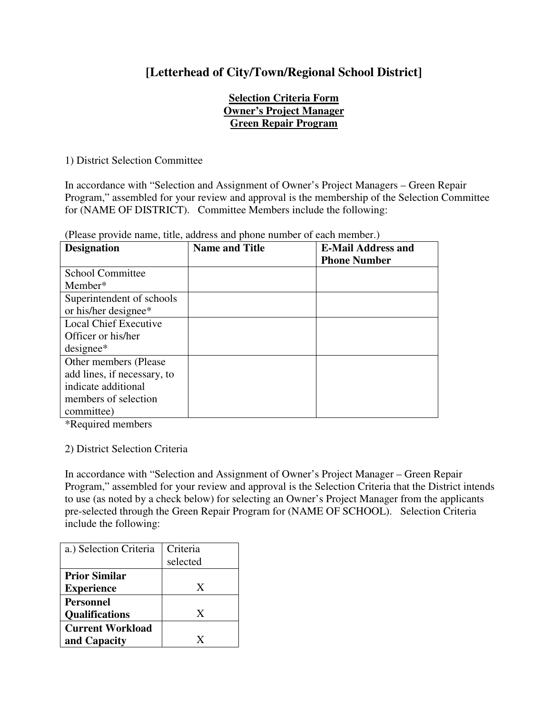## **[Letterhead of City/Town/Regional School District]**

## **Selection Criteria Form Owner's Project Manager Green Repair Program**

1) District Selection Committee

In accordance with "Selection and Assignment of Owner's Project Managers – Green Repair Program," assembled for your review and approval is the membership of the Selection Committee for (NAME OF DISTRICT). Committee Members include the following:

| <b>Designation</b>           | <b>Name and Title</b> | <b>E-Mail Address and</b> |
|------------------------------|-----------------------|---------------------------|
|                              |                       | <b>Phone Number</b>       |
| <b>School Committee</b>      |                       |                           |
| Member*                      |                       |                           |
| Superintendent of schools    |                       |                           |
| or his/her designee*         |                       |                           |
| <b>Local Chief Executive</b> |                       |                           |
| Officer or his/her           |                       |                           |
| $designee*$                  |                       |                           |
| Other members (Please)       |                       |                           |
| add lines, if necessary, to  |                       |                           |
| indicate additional          |                       |                           |
| members of selection         |                       |                           |
| committee)                   |                       |                           |

(Please provide name, title, address and phone number of each member.)

\*Required members

## 2) District Selection Criteria

In accordance with "Selection and Assignment of Owner's Project Manager – Green Repair Program," assembled for your review and approval is the Selection Criteria that the District intends to use (as noted by a check below) for selecting an Owner's Project Manager from the applicants pre-selected through the Green Repair Program for (NAME OF SCHOOL). Selection Criteria include the following:

| a.) Selection Criteria  | Criteria<br>selected |
|-------------------------|----------------------|
| <b>Prior Similar</b>    |                      |
| <b>Experience</b>       | X                    |
| Personnel               |                      |
| <b>Qualifications</b>   | X                    |
| <b>Current Workload</b> |                      |
| and Capacity            | X                    |